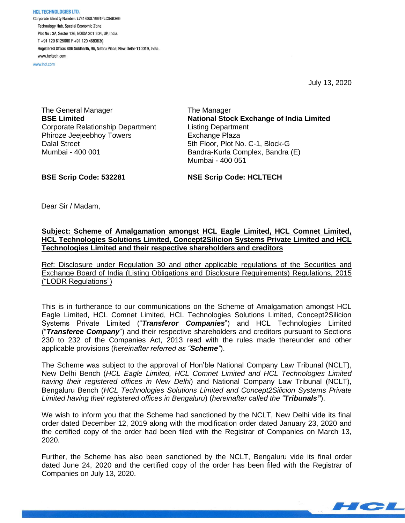**HCL TECHNOLOGIES LTD.** Corporate Identity Number: L74140DL1991PLC046369 Technology Hub, Special Economic Zone Plot No: 3A, Sector 126, NOIDA 201 304, UP, India. T+91 120 6125000 F+91 120 4683030 Registered Office: 806 Siddharth, 96, Nehru Place, New Delhi-110019, India. www.hcltech.com

www.hcl.com

July 13, 2020

HCL

The General Manager **BSE Limited** Corporate Relationship Department Phiroze Jeejeebhoy Towers Dalal Street Mumbai - 400 001

The Manager **National Stock Exchange of India Limited** Listing Department Exchange Plaza 5th Floor, Plot No. C-1, Block-G Bandra-Kurla Complex, Bandra (E) Mumbai - 400 051

**BSE Scrip Code: 532281**

**NSE Scrip Code: HCLTECH**

Dear Sir / Madam,

## **Subject: Scheme of Amalgamation amongst HCL Eagle Limited, HCL Comnet Limited, HCL Technologies Solutions Limited, Concept2Silicion Systems Private Limited and HCL Technologies Limited and their respective shareholders and creditors**

Ref: Disclosure under Regulation 30 and other applicable regulations of the Securities and Exchange Board of India (Listing Obligations and Disclosure Requirements) Regulations, 2015 ("LODR Regulations")

This is in furtherance to our communications on the Scheme of Amalgamation amongst HCL Eagle Limited, HCL Comnet Limited, HCL Technologies Solutions Limited, Concept2Silicion Systems Private Limited ("*Transferor Companies*") and HCL Technologies Limited ("*Transferee Company*") and their respective shareholders and creditors pursuant to Sections 230 to 232 of the Companies Act, 2013 read with the rules made thereunder and other applicable provisions (*hereinafter referred as "Scheme"*).

The Scheme was subject to the approval of Hon'ble National Company Law Tribunal (NCLT), New Delhi Bench (*HCL Eagle Limited, HCL Comnet Limited and HCL Technologies Limited having their registered offices in New Delhi*) and National Company Law Tribunal (NCLT), Bengaluru Bench (*HCL Technologies Solutions Limited and Concept2Silicion Systems Private Limited having their registered offices in Bengaluru*) (*hereinafter called the "Tribunals"*).

We wish to inform you that the Scheme had sanctioned by the NCLT, New Delhi vide its final order dated December 12, 2019 along with the modification order dated January 23, 2020 and the certified copy of the order had been filed with the Registrar of Companies on March 13, 2020.

Further, the Scheme has also been sanctioned by the NCLT, Bengaluru vide its final order dated June 24, 2020 and the certified copy of the order has been filed with the Registrar of Companies on July 13, 2020.